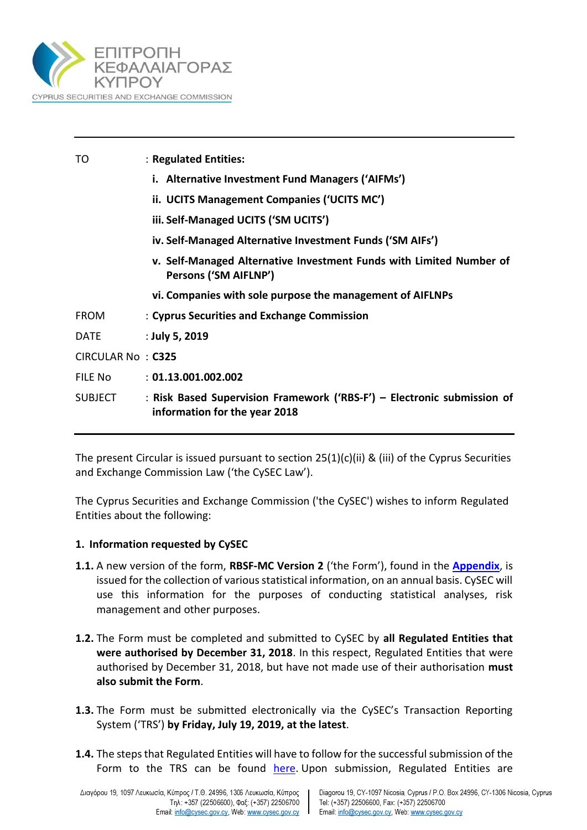

| TO                       | : Regulated Entities:                                                                                    |
|--------------------------|----------------------------------------------------------------------------------------------------------|
|                          | i. Alternative Investment Fund Managers ('AIFMs')                                                        |
|                          | ii. UCITS Management Companies ('UCITS MC')                                                              |
|                          | iii. Self-Managed UCITS ('SM UCITS')                                                                     |
|                          | iv. Self-Managed Alternative Investment Funds ('SM AIFs')                                                |
|                          | v. Self-Managed Alternative Investment Funds with Limited Number of<br>Persons ('SM AIFLNP')             |
|                          | vi. Companies with sole purpose the management of AIFLNPs                                                |
| <b>FROM</b>              | : Cyprus Securities and Exchange Commission                                                              |
| DATE                     | : July 5, 2019                                                                                           |
| <b>CIRCULAR No: C325</b> |                                                                                                          |
| FILE No                  | : 01.13.001.002.002                                                                                      |
| SUBJECT                  | : Risk Based Supervision Framework ('RBS-F') – Electronic submission of<br>information for the year 2018 |
|                          |                                                                                                          |

The present Circular is issued pursuant to section 25(1)(c)(ii) & (iii) of the Cyprus Securities and Exchange Commission Law ('the CySEC Law').

The Cyprus Securities and Exchange Commission ('the CySEC') wishes to inform Regulated Entities about the following:

### **1. Information requested by CySEC**

- **1.1.** A new version of the form, **RBSF-MC Version 2** ('the Form'), found in the **[Appendix](https://www.cysec.gov.cy/entities/RBS-F/FORMS/84017/)**, is issued for the collection of various statistical information, on an annual basis. CySEC will use this information for the purposes of conducting statistical analyses, risk management and other purposes.
- **1.2.** The Form must be completed and submitted to CySEC by **all Regulated Entities that were authorised by December 31, 2018**. In this respect, Regulated Entities that were authorised by December 31, 2018, but have not made use of their authorisation **must also submit the Form**.
- **1.3.** The Form must be submitted electronically via the CySEC's Transaction Reporting System ('TRS') **by Friday, July 19, 2019, at the latest**.
- **1.4.** The steps that Regulated Entities will have to follow for the successful submission of the Form to the TRS can be found [here.](https://www.cysec.gov.cy/en-GB/entities/digital-signature/TRS-User-Manual/) Upon submission, Regulated Entities are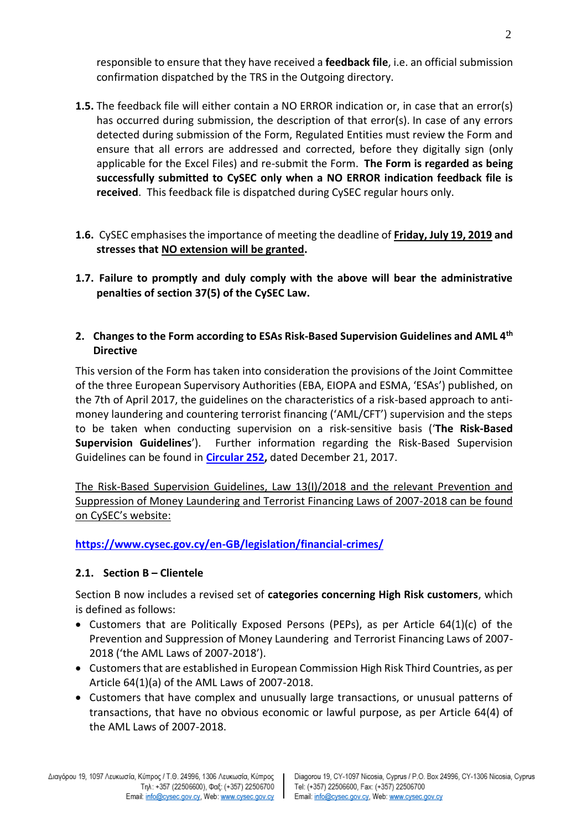responsible to ensure that they have received a **feedback file**, i.e. an official submission confirmation dispatched by the TRS in the Outgoing directory.

- **1.5.** The feedback file will either contain a NO ERROR indication or, in case that an error(s) has occurred during submission, the description of that error(s). In case of any errors detected during submission of the Form, Regulated Entities must review the Form and ensure that all errors are addressed and corrected, before they digitally sign (only applicable for the Excel Files) and re-submit the Form. **The Form is regarded as being successfully submitted to CySEC only when a NO ERROR indication feedback file is received**. This feedback file is dispatched during CySEC regular hours only.
- **1.6.** CySEC emphasises the importance of meeting the deadline of **Friday, July 19, 2019 and stresses that NO extension will be granted.**
- **1.7. Failure to promptly and duly comply with the above will bear the administrative penalties of section 37(5) of the CySEC Law.**

# **2. Changes to the Form according to ESAs Risk-Based Supervision Guidelines and AML 4th Directive**

This version of the Form has taken into consideration the provisions of the Joint Committee of the three European Supervisory Authorities (EBA, EIOPA and ESMA, 'ESAs') published, on the 7th of April 2017, the guidelines on the characteristics of a risk-based approach to antimoney laundering and countering terrorist financing ('AML/CFT') supervision and the steps to be taken when conducting supervision on a risk-sensitive basis ('**The Risk-Based Supervision Guidelines**'). Further information regarding the Risk-Based Supervision Guidelines can be found in **[Circular 252,](https://www.cysec.gov.cy/CMSPages/GetFile.aspx?guid=ed94163b-635c-4c54-b3de-abec53999715)** dated December 21, 2017.

The Risk-Based Supervision Guidelines, Law 13(I)/2018 and the relevant Prevention and Suppression of Money Laundering and Terrorist Financing Laws of 2007-2018 can be found on CySEC's website:

**<https://www.cysec.gov.cy/en-GB/legislation/financial-crimes/>**

# **2.1. Section Β – Clientele**

Section B now includes a revised set of **categories concerning High Risk customers**, which is defined as follows:

- Customers that are Politically Exposed Persons (PEPs), as per Article  $64(1)(c)$  of the Prevention and Suppression of Money Laundering and Terrorist Financing Laws of 2007- 2018 ('the AML Laws of 2007-2018').
- Customers that are established in European Commission High Risk Third Countries, as per Article 64(1)(a) of the AML Laws of 2007-2018.
- Customers that have complex and unusually large transactions, or unusual patterns of transactions, that have no obvious economic or lawful purpose, as per Article 64(4) of the AML Laws of 2007-2018.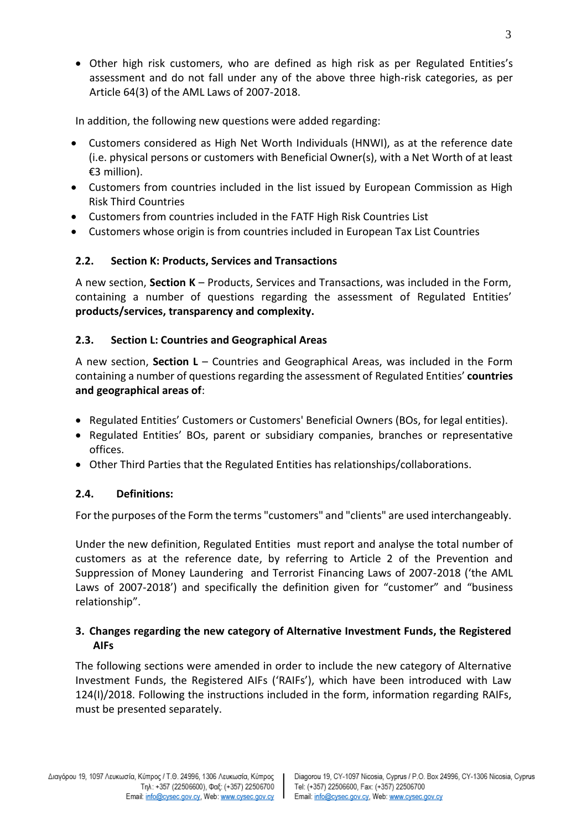Other high risk customers, who are defined as high risk as per Regulated Entities's assessment and do not fall under any of the above three high-risk categories, as per Article 64(3) of the AML Laws of 2007-2018.

In addition, the following new questions were added regarding:

- Customers considered as High Net Worth Individuals (HNWI), as at the reference date (i.e. physical persons or customers with Beneficial Owner(s), with a Net Worth of at least €3 million).
- Customers from countries included in the list issued by European Commission as High Risk Third Countries
- Customers from countries included in the FATF High Risk Countries List
- Customers whose origin is from countries included in European Tax List Countries

# **2.2. Section K: Products, Services and Transactions**

A new section, **Section K** – Products, Services and Transactions, was included in the Form, containing a number of questions regarding the assessment of Regulated Entities' **products/services, transparency and complexity.**

# **2.3. Section L: Countries and Geographical Areas**

A new section, **Section L** – Countries and Geographical Areas, was included in the Form containing a number of questions regarding the assessment of Regulated Entities' **countries and geographical areas of**:

- Regulated Entities' Customers or Customers' Beneficial Owners (BOs, for legal entities).
- Regulated Entities' BOs, parent or subsidiary companies, branches or representative offices.
- Other Third Parties that the Regulated Entities has relationships/collaborations.

# **2.4. Definitions:**

For the purposes of the Form the terms "customers" and "clients" are used interchangeably.

Under the new definition, Regulated Entities must report and analyse the total number of customers as at the reference date, by referring to Article 2 of the Prevention and Suppression of Money Laundering and Terrorist Financing Laws of 2007-2018 ('the AML Laws of 2007-2018') and specifically the definition given for "customer" and "business relationship".

# **3. Changes regarding the new category of Alternative Investment Funds, the Registered AIFs**

The following sections were amended in order to include the new category of Alternative Investment Funds, the Registered AIFs ('RAIFs'), which have been introduced with Law 124(I)/2018. Following the instructions included in the form, information regarding RAIFs, must be presented separately.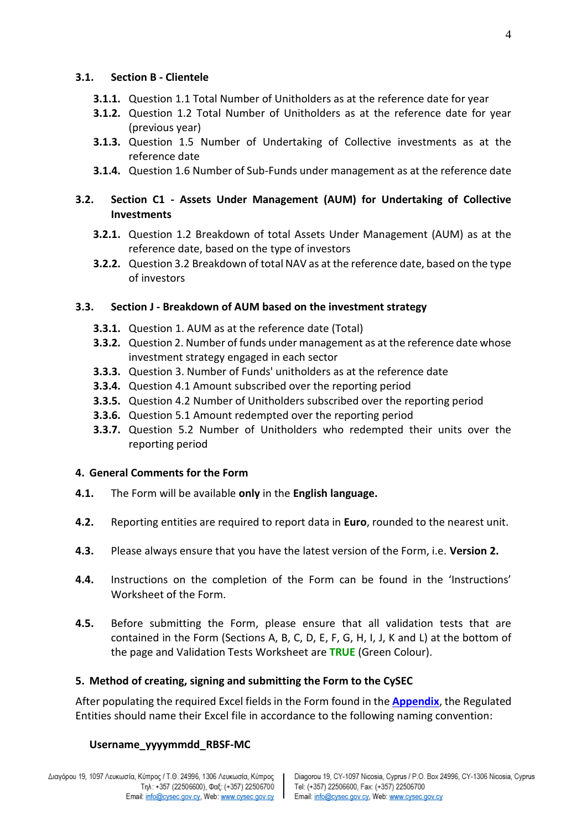#### **3.1. Section B - Clientele**

- **3.1.1.** Question 1.1 Total Number of Unitholders as at the reference date for year
- **3.1.2.** Question 1.2 Total Number of Unitholders as at the reference date for year (previous year)
- **3.1.3.** Question 1.5 Number of Undertaking of Collective investments as at the reference date
- **3.1.4.** Question 1.6 Number of Sub-Funds under management as at the reference date

# **3.2. Section C1 - Assets Under Management (AUM) for Undertaking of Collective Investments**

- **3.2.1.** Question 1.2 Breakdown of total Assets Under Management (AUM) as at the reference date, based on the type of investors
- **3.2.2.** Question 3.2 Breakdown of total NAV as at the reference date, based on the type of investors

### **3.3. Section J - Breakdown of AUM based on the investment strategy**

- **3.3.1.** Question 1. AUM as at the reference date (Total)
- **3.3.2.** Question 2. Number of funds under management as at the reference date whose investment strategy engaged in each sector
- **3.3.3.** Question 3. Number of Funds' unitholders as at the reference date
- **3.3.4.** Question 4.1 Amount subscribed over the reporting period
- **3.3.5.** Question 4.2 Number of Unitholders subscribed over the reporting period
- **3.3.6.** Question 5.1 Amount redempted over the reporting period
- **3.3.7.** Question 5.2 Number of Unitholders who redempted their units over the reporting period

#### **4. General Comments for the Form**

- **4.1.** The Form will be available **only** in the **English language.**
- **4.2.** Reporting entities are required to report data in **Euro**, rounded to the nearest unit.
- **4.3.** Please always ensure that you have the latest version of the Form, i.e. **Version 2.**
- **4.4.** Instructions on the completion of the Form can be found in the 'Instructions' Worksheet of the Form.
- **4.5.** Before submitting the Form, please ensure that all validation tests that are contained in the Form (Sections A, B, C, D, E, F, G, H, I, J, K and L) at the bottom of the page and Validation Tests Worksheet are **TRUE** (Green Colour).

### **5. Method of creating, signing and submitting the Form to the CySEC**

After populating the required Excel fields in the Form found in the **[Appendix](https://www.cysec.gov.cy/entities/RBS-F/FORMS/84017/)**, the Regulated Entities should name their Excel file in accordance to the following naming convention:

### **Username\_yyyymmdd\_RBSF-MC**